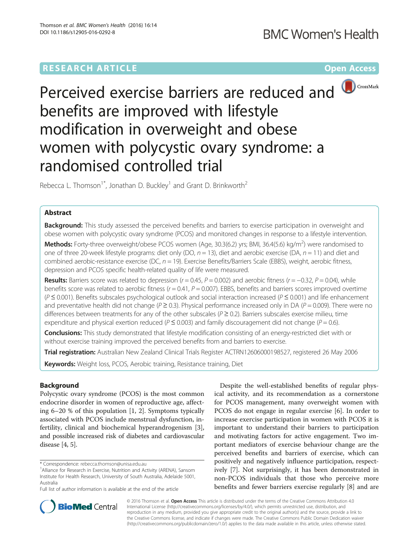# **RESEARCH ARTICLE Example 2014 12:30 The Contract of Contract ACCESS**



# Perceived exercise barriers are reduced and benefits are improved with lifestyle modification in overweight and obese women with polycystic ovary syndrome: a randomised controlled trial

Rebecca L. Thomson<sup>1\*</sup>, Jonathan D. Buckley<sup>1</sup> and Grant D. Brinkworth<sup>2</sup>

# Abstract

Background: This study assessed the perceived benefits and barriers to exercise participation in overweight and obese women with polycystic ovary syndrome (PCOS) and monitored changes in response to a lifestyle intervention.

Methods: Forty-three overweight/obese PCOS women (Age, 30.3(6.2) yrs; BMI, 36.4(5.6) kg/m<sup>2</sup>) were randomised to one of three 20-week lifestyle programs: diet only (DO,  $n = 13$ ), diet and aerobic exercise (DA,  $n = 11$ ) and diet and combined aerobic-resistance exercise (DC,  $n = 19$ ). Exercise Benefits/Barriers Scale (EBBS), weight, aerobic fitness, depression and PCOS specific health-related quality of life were measured.

Results: Barriers score was related to depression ( $r = 0.45$ ,  $P = 0.002$ ) and aerobic fitness ( $r = -0.32$ ,  $P = 0.04$ ), while benefits score was related to aerobic fitness ( $r = 0.41$ ,  $P = 0.007$ ). EBBS, benefits and barriers scores improved overtime (P ≤ 0.001). Benefits subscales psychological outlook and social interaction increased (P ≤ 0.001) and life enhancement and preventative health did not change ( $P \ge 0.3$ ). Physical performance increased only in DA ( $P = 0.009$ ). There were no differences between treatments for any of the other subscales ( $P \ge 0.2$ ). Barriers subscales exercise milieu, time expenditure and physical exertion reduced ( $P \le 0.003$ ) and family discouragement did not change ( $P = 0.6$ ).

Conclusions: This study demonstrated that lifestyle modification consisting of an energy-restricted diet with or without exercise training improved the perceived benefits from and barriers to exercise.

Trial registration: Australian New Zealand Clinical Trials Register [ACTRN12606000198527,](https://www.anzctr.org.au/Trial/Registration/TrialReview.aspx?id=1259) registered 26 May 2006

Keywords: Weight loss, PCOS, Aerobic training, Resistance training, Diet

# Background

Polycystic ovary syndrome (PCOS) is the most common endocrine disorder in women of reproductive age, affecting 6–20 % of this population [[1, 2\]](#page-7-0). Symptoms typically associated with PCOS include menstrual dysfunction, infertility, clinical and biochemical hyperandrogenism [\[3](#page-7-0)], and possible increased risk of diabetes and cardiovascular disease [\[4](#page-7-0), [5\]](#page-7-0).

Despite the well-established benefits of regular physical activity, and its recommendation as a cornerstone for PCOS management, many overweight women with PCOS do not engage in regular exercise [[6\]](#page-7-0). In order to increase exercise participation in women with PCOS it is important to understand their barriers to participation and motivating factors for active engagement. Two important mediators of exercise behaviour change are the perceived benefits and barriers of exercise, which can positively and negatively influence participation, respectively [[7](#page-7-0)]. Not surprisingly, it has been demonstrated in non-PCOS individuals that those who perceive more benefits and fewer barriers exercise regularly [\[8](#page-7-0)] and are



© 2016 Thomson et al. Open Access This article is distributed under the terms of the Creative Commons Attribution 4.0 International License [\(http://creativecommons.org/licenses/by/4.0/](http://creativecommons.org/licenses/by/4.0/)), which permits unrestricted use, distribution, and reproduction in any medium, provided you give appropriate credit to the original author(s) and the source, provide a link to the Creative Commons license, and indicate if changes were made. The Creative Commons Public Domain Dedication waiver [\(http://creativecommons.org/publicdomain/zero/1.0/](http://creativecommons.org/publicdomain/zero/1.0/)) applies to the data made available in this article, unless otherwise stated.

<sup>\*</sup> Correspondence: [rebecca.thomson@unisa.edu.au](mailto:rebecca.thomson@unisa.edu.au) <sup>1</sup>

<sup>&</sup>lt;sup>1</sup> Alliance for Research in Exercise, Nutrition and Activity (ARENA), Sansom Institute for Health Research, University of South Australia, Adelaide 5001, Australia

Full list of author information is available at the end of the article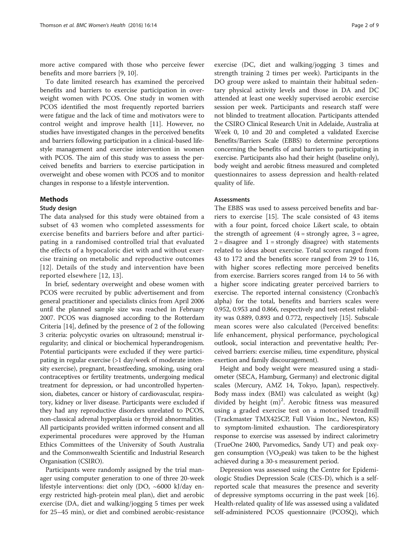more active compared with those who perceive fewer benefits and more barriers [\[9, 10\]](#page-7-0).

To date limited research has examined the perceived benefits and barriers to exercise participation in overweight women with PCOS. One study in women with PCOS identified the most frequently reported barriers were fatigue and the lack of time and motivators were to control weight and improve health [\[11](#page-7-0)]. However, no studies have investigated changes in the perceived benefits and barriers following participation in a clinical-based lifestyle management and exercise intervention in women with PCOS. The aim of this study was to assess the perceived benefits and barriers to exercise participation in overweight and obese women with PCOS and to monitor changes in response to a lifestyle intervention.

## Methods

#### Study design

The data analysed for this study were obtained from a subset of 43 women who completed assessments for exercise benefits and barriers before and after participating in a randomised controlled trial that evaluated the effects of a hypocaloric diet with and without exercise training on metabolic and reproductive outcomes [[12](#page-7-0)]. Details of the study and intervention have been reported elsewhere [[12](#page-7-0), [13](#page-7-0)].

In brief, sedentary overweight and obese women with PCOS were recruited by public advertisement and from general practitioner and specialists clinics from April 2006 until the planned sample size was reached in February 2007. PCOS was diagnosed according to the Rotterdam Criteria [\[14\]](#page-7-0), defined by the presence of 2 of the following 3 criteria: polycystic ovaries on ultrasound; menstrual irregularity; and clinical or biochemical hyperandrogenism. Potential participants were excluded if they were participating in regular exercise (>1 day/week of moderate intensity exercise), pregnant, breastfeeding, smoking, using oral contraceptives or fertility treatments, undergoing medical treatment for depression, or had uncontrolled hypertension, diabetes, cancer or history of cardiovascular, respiratory, kidney or liver disease. Participants were excluded if they had any reproductive disorders unrelated to PCOS, non-classical adrenal hyperplasia or thyroid abnormalities. All participants provided written informed consent and all experimental procedures were approved by the Human Ethics Committees of the University of South Australia and the Commonwealth Scientific and Industrial Research Organisation (CSIRO).

Participants were randomly assigned by the trial manager using computer generation to one of three 20-week lifestyle interventions: diet only (DO, ~6000 kJ/day energy restricted high-protein meal plan), diet and aerobic exercise (DA, diet and walking/jogging 5 times per week for 25–45 min), or diet and combined aerobic-resistance

exercise (DC, diet and walking/jogging 3 times and strength training 2 times per week). Participants in the DO group were asked to maintain their habitual sedentary physical activity levels and those in DA and DC attended at least one weekly supervised aerobic exercise session per week. Participants and research staff were not blinded to treatment allocation. Participants attended the CSIRO Clinical Research Unit in Adelaide, Australia at Week 0, 10 and 20 and completed a validated Exercise Benefits/Barriers Scale (EBBS) to determine perceptions concerning the benefits of and barriers to participating in exercise. Participants also had their height (baseline only), body weight and aerobic fitness measured and completed questionnaires to assess depression and health-related quality of life.

## Assessments

The EBBS was used to assess perceived benefits and barriers to exercise [\[15\]](#page-7-0). The scale consisted of 43 items with a four point, forced choice Likert scale, to obtain the strength of agreement  $(4 =$  strongly agree,  $3 =$  agree,  $2 =$  disagree and  $1 =$  strongly disagree) with statements related to ideas about exercise. Total scores ranged from 43 to 172 and the benefits score ranged from 29 to 116, with higher scores reflecting more perceived benefits from exercise. Barriers scores ranged from 14 to 56 with a higher score indicating greater perceived barriers to exercise. The reported internal consistency (Cronbach's alpha) for the total, benefits and barriers scales were 0.952, 0.953 and 0.866, respectively and test-retest reliability was 0.889, 0.893 and 0.772, respectively [\[15\]](#page-7-0). Subscale mean scores were also calculated (Perceived benefits: life enhancement, physical performance, psychological outlook, social interaction and preventative health; Perceived barriers: exercise milieu, time expenditure, physical exertion and family discouragement).

Height and body weight were measured using a stadiometer (SECA, Hamburg, Germany) and electronic digital scales (Mercury, AMZ 14, Tokyo, Japan), respectively. Body mass index (BMI) was calculated as weight (kg) divided by height  $(m)^2$ . Aerobic fitness was measured using a graded exercise test on a motorised treadmill (Trackmaster TMX425CP, Full Vision Inc., Newton, KS) to symptom-limited exhaustion. The cardiorespiratory response to exercise was assessed by indirect calorimetry (TrueOne 2400, Parvomedics, Sandy UT) and peak oxygen consumption (VO<sub>2</sub>peak) was taken to be the highest achieved during a 30-s measurement period.

Depression was assessed using the Centre for Epidemiologic Studies Depression Scale (CES-D), which is a selfreported scale that measures the presence and severity of depressive symptoms occurring in the past week [\[16](#page-7-0)]. Health-related quality of life was assessed using a validated self-administered PCOS questionnaire (PCOSQ), which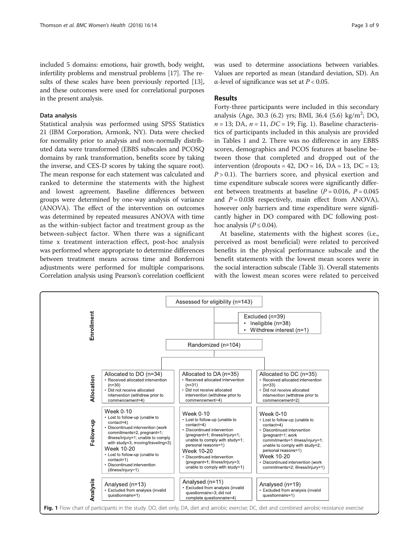included 5 domains: emotions, hair growth, body weight, infertility problems and menstrual problems [[17](#page-7-0)]. The results of these scales have been previously reported [[13](#page-7-0)], and these outcomes were used for correlational purposes in the present analysis.

## Data analysis

Statistical analysis was performed using SPSS Statistics 21 (IBM Corporation, Armonk, NY). Data were checked for normality prior to analysis and non-normally distributed data were transformed (EBBS subscales and PCOSQ domains by rank transformation, benefits score by taking the inverse, and CES-D scores by taking the square root). The mean response for each statement was calculated and ranked to determine the statements with the highest and lowest agreement. Baseline differences between groups were determined by one-way analysis of variance (ANOVA). The effect of the intervention on outcomes was determined by repeated measures ANOVA with time as the within-subject factor and treatment group as the between-subject factor. When there was a significant time x treatment interaction effect, post-hoc analysis was performed where appropriate to determine differences between treatment means across time and Bonferroni adjustments were performed for multiple comparisons. Correlation analysis using Pearson's correlation coefficient

was used to determine associations between variables. Values are reported as mean (standard deviation, SD). An α-level of significance was set at P < 0.05.

# Results

Forty-three participants were included in this secondary analysis (Age, 30.3 (6.2) yrs; BMI, 36.4 (5.6) kg/m<sup>2</sup>; DO,  $n = 13$ ; DA,  $n = 11$ , DC = 19; Fig. 1). Baseline characteristics of participants included in this analysis are provided in Tables [1](#page-3-0) and [2](#page-4-0). There was no difference in any EBBS scores, demographics and PCOS features at baseline between those that completed and dropped out of the intervention (dropouts = 42,  $DO = 16$ ,  $DA = 13$ ,  $DC = 13$ ;  $P > 0.1$ ). The barriers score, and physical exertion and time expenditure subscale scores were significantly different between treatments at baseline ( $P = 0.016$ ,  $P = 0.045$ and  $P = 0.038$  respectively, main effect from ANOVA), however only barriers and time expenditure were significantly higher in DO compared with DC following posthoc analysis ( $P \le 0.04$ ).

At baseline, statements with the highest scores (i.e., perceived as most beneficial) were related to perceived benefits in the physical performance subscale and the benefit statements with the lowest mean scores were in the social interaction subscale (Table [3\)](#page-5-0). Overall statements with the lowest mean scores were related to perceived

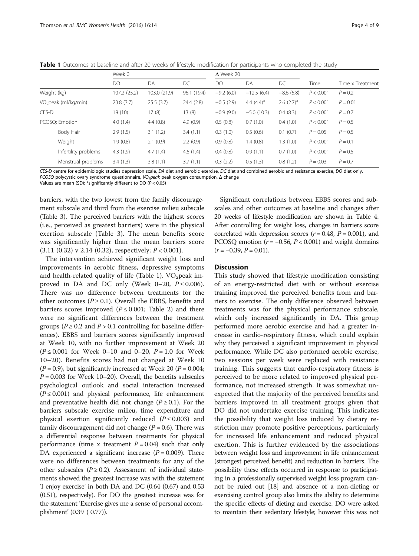<span id="page-3-0"></span>Table 1 Outcomes at baseline and after 20 weeks of lifestyle modification for participants who completed the study

|                                  |                      | Week 0       |              |             | $\Delta$ Week 20 |               |              |            |                  |
|----------------------------------|----------------------|--------------|--------------|-------------|------------------|---------------|--------------|------------|------------------|
|                                  |                      | DO           | DA           | DC          | DO               | DA            | DC           | Time       | Time x Treatment |
| Weight (kg)                      |                      | 107.2 (25.2) | 103.0 (21.9) | 96.1 (19.4) | $-9.2(6.0)$      | $-12.5(6.4)$  | $-8.6(5.8)$  | P < 0.001  | $P = 0.2$        |
| VO <sub>2</sub> peak (ml/kg/min) |                      | 23.8(3.7)    | 25.5(3.7)    | 24.4(2.8)   | $-0.5(2.9)$      | 4.4 $(4.4)^*$ | $2.6(2.7)$ * | P < 0.001  | $P = 0.01$       |
| CES-D                            |                      | 19(10)       | 17(8)        | 13(8)       | $-0.9(9.0)$      | $-5.0(10.3)$  | 0.4(8.3)     | P < 0.001  | $P = 0.7$        |
| PCOSO: Emotion                   |                      | 4.0(1.4)     | 4.4(0.8)     | 4.9(0.9)    | 0.5(0.8)         | 0.7(1.0)      | 0.4(1.0)     | P < 0.001  | $P = 0.5$        |
|                                  | Body Hair            | 2.9(1.5)     | 3.1(1.2)     | 3.4(1.1)    | 0.3(1.0)         | 0.5(0.6)      | 0.1(0.7)     | $P = 0.05$ | $P = 0.5$        |
|                                  | Weight               | 1.9(0.8)     | 2.1(0.9)     | 2.2(0.9)    | 0.9(0.8)         | 1.4(0.8)      | 1.3(1.0)     | P < 0.001  | $P = 0.1$        |
|                                  | Infertility problems | 4.3(1.9)     | 4.7(1.4)     | 4.6(1.4)    | 0.4(0.8)         | 0.9(1.1)      | 0.7(1.0)     | P < 0.001  | $P = 0.5$        |
|                                  | Menstrual problems   | 3.4(1.3)     | 3.8(1.1)     | 3.7(1.1)    | 0.3(2.2)         | 0.5(1.3)      | 0.8(1.2)     | $P = 0.03$ | $P = 0.7$        |

CES-D centre for epidemiologic studies depression scale, DA diet and aerobic exercise, DC diet and combined aerobic and resistance exercise, DO diet only, PCOSQ polycystic ovary syndrome questionnaire, VO<sub>2</sub>peak peak oxygen consumption, Δ change

Values are mean (SD); \*significantly different to DO ( $P < 0.05$ )

barriers, with the two lowest from the family discouragement subscale and third from the exercise milieu subscale (Table [3](#page-5-0)). The perceived barriers with the highest scores (i.e., perceived as greatest barriers) were in the physical exertion subscale (Table [3](#page-5-0)). The mean benefits score was significantly higher than the mean barriers score  $(3.11 (0.32) v 2.14 (0.32)$ , respectively;  $P < 0.001$ ).

The intervention achieved significant weight loss and improvements in aerobic fitness, depressive symptoms and health-related quality of life (Table 1).  $VO<sub>2</sub>peak$  improved in DA and DC only (Week  $0-20$ ,  $P \le 0.006$ ). There was no difference between treatments for the other outcomes ( $P \ge 0.1$ ). Overall the EBBS, benefits and barriers scores improved ( $P \le 0.001$ ; Table [2\)](#page-4-0) and there were no significant differences between the treatment groups ( $P \ge 0.2$  and  $P > 0.1$  controlling for baseline differences). EBBS and barriers scores significantly improved at Week 10, with no further improvement at Week 20  $(P ≤ 0.001$  for Week 0–10 and 0–20,  $P = 1.0$  for Week 10–20). Benefits scores had not changed at Week 10  $(P = 0.9)$ , but significantly increased at Week 20  $(P = 0.004;$  $P = 0.003$  for Week 10–20). Overall, the benefits subscales psychological outlook and social interaction increased  $(P \le 0.001)$  and physical performance, life enhancement and preventative health did not change ( $P \ge 0.1$ ). For the barriers subscale exercise milieu, time expenditure and physical exertion significantly reduced ( $P \le 0.003$ ) and family discouragement did not change ( $P = 0.6$ ). There was a differential response between treatments for physical performance (time x treatment  $P = 0.04$ ) such that only DA experienced a significant increase  $(P = 0.009)$ . There were no differences between treatments for any of the other subscales ( $P \ge 0.2$ ). Assessment of individual statements showed the greatest increase was with the statement 'I enjoy exercise' in both DA and DC (0.64 (0.67) and 0.53 (0.51), respectively). For DO the greatest increase was for the statement 'Exercise gives me a sense of personal accomplishment' (0.39 ( 0.77)).

Significant correlations between EBBS scores and subscales and other outcomes at baseline and changes after 20 weeks of lifestyle modification are shown in Table [4](#page-5-0). After controlling for weight loss, changes in barriers score correlated with depression scores ( $r = 0.48$ ,  $P = 0.001$ ), and PCOSQ emotion ( $r = -0.56$ ,  $P < 0.001$ ) and weight domains  $(r = -0.39, P = 0.01).$ 

#### **Discussion**

This study showed that lifestyle modification consisting of an energy-restricted diet with or without exercise training improved the perceived benefits from and barriers to exercise. The only difference observed between treatments was for the physical performance subscale, which only increased significantly in DA. This group performed more aerobic exercise and had a greater increase in cardio-respiratory fitness, which could explain why they perceived a significant improvement in physical performance. While DC also performed aerobic exercise, two sessions per week were replaced with resistance training. This suggests that cardio-respiratory fitness is perceived to be more related to improved physical performance, not increased strength. It was somewhat unexpected that the majority of the perceived benefits and barriers improved in all treatment groups given that DO did not undertake exercise training. This indicates the possibility that weight loss induced by dietary restriction may promote positive perceptions, particularly for increased life enhancement and reduced physical exertion. This is further evidenced by the associations between weight loss and improvement in life enhancement (strongest perceived benefit) and reduction in barriers. The possibility these effects occurred in response to participating in a professionally supervised weight loss program cannot be ruled out [\[18](#page-7-0)] and absence of a non-dieting or exercising control group also limits the ability to determine the specific effects of dieting and exercise. DO were asked to maintain their sedentary lifestyle; however this was not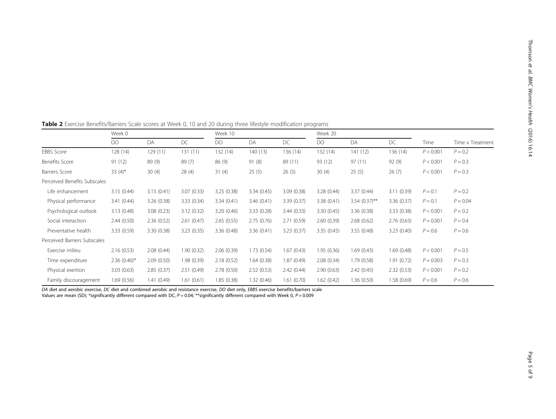|                              | Week 0         |            | Week 10     |            |            | Week 20    |             |                 |             |             |                  |
|------------------------------|----------------|------------|-------------|------------|------------|------------|-------------|-----------------|-------------|-------------|------------------|
|                              | DO.            | DA         | DC          | DO.        | DA         | DC         | DO.         | DA              | DC          | Time        | Time x Treatment |
| <b>EBBS Score</b>            | 128 (14)       | 129(11)    | 131(11)     | 132 (14)   | 140(13)    | 136 (14)   | 132 (14)    | 141(12)         | 136 (14)    | P < 0.001   | $P = 0.2$        |
| Benefits Score               | 91 (12)        | 89 (9)     | 89(7)       | 86 (9)     | 91(8)      | 89 (11)    | 93 (12)     | 97(11)          | 92(9)       | P < 0.001   | $P = 0.3$        |
| <b>Barriers Score</b>        | 33 $(4)$ *     | 30(4)      | 28(4)       | 31(4)      | 25(5)      | 26(5)      | 30(4)       | 25(5)           | 26(7)       | P < 0.001   | $P = 0.3$        |
| Perceived Benefits Subscales |                |            |             |            |            |            |             |                 |             |             |                  |
| Life enhancement             | 3.15(0.44)     | 3.15(0.41) | 3.07(0.33)  | 3.25(0.38) | 3.34(0.45) | 3.09(0.38) | 3.28(0.44)  | 3.37(0.44)      | 3.11(0.39)  | $P = 0.1$   | $P = 0.2$        |
| Physical performance         | 3.41(0.44)     | 3.26(0.38) | 3.33(0.34)  | 3.34(0.41) | 3.46(0.41) | 3.39(0.37) | 3.38(0.41)  | $3.54(0.37)$ ** | 3.36(0.37)  | $P = 0.1$   | $P = 0.04$       |
| Psychological outlook        | 3.13(0.48)     | 3.08(0.23) | 3.12(0.32)  | 3.20(0.46) | 3.33(0.28) | 3.44(0.33) | 3.30(0.45)  | 3.36(0.38)      | 3.33(0.38)  | P < 0.001   | $P = 0.2$        |
| Social interaction           | 2.44(0.50)     | 2.36(0.52) | 2.61(0.47)  | 2.65(0.55) | 2.75(0.76) | 2.71(0.59) | 2.60(0.39)  | 2.68(0.62)      | 2.76(0.63)  | $P = 0.001$ | $P = 0.4$        |
| Preventative health          | 3.33(0.59)     | 3.30(0.38) | 3.23(0.35)  | 3.36(0.48) | 3.36(0.41) | 3.23(0.37) | 3.35(0.45)  | 3.55(0.48)      | 3.23(0.40)  | $P = 0.6$   | $P = 0.6$        |
| Perceived Barriers Subscales |                |            |             |            |            |            |             |                 |             |             |                  |
| Exercise milieu              | 2.16(0.53)     | 2.08(0.44) | 1.90 (0.32) | 2.06(0.39) | 1.73(0.54) | 1.67(0.43) | 1.95 (0.36) | 1.69(0.43)      | 1.69 (0.48) | P < 0.001   | $P = 0.5$        |
| Time expenditure             | $2.36(0.46)$ * | 2.09(0.50) | 1.98(0.39)  | 2.18(0.52) | 1.64(0.38) | 1.87(0.49) | 2.08(0.34)  | 1.79(0.58)      | 1.91(0.72)  | $P = 0.003$ | $P = 0.3$        |
| Physical exertion            | 3.03(0.63)     | 2.85(0.37) | 2.51(0.49)  | 2.78(0.50) | 2.52(0.53) | 2.42(0.44) | 2.90(0.63)  | 2.42(0.45)      | 2.32(0.53)  | P < 0.001   | $P = 0.2$        |
| Family discouragement        | 1.69(0.56)     | 1.41(0.49) | 1.61(0.61)  | 1.85(0.38) | 1.32(0.46) | 1.61(0.70) | 1.62(0.42)  | 1.36(0.50)      | 1.58(0.69)  | $P = 0.6$   | $P = 0.6$        |

<span id="page-4-0"></span>Table 2 Exercise Benefits/Barriers Scale scores at Week 0, 10 and 20 during three lifestyle modification programs

DA diet and aerobic exercise, DC diet and combined aerobic and resistance exercise, DO diet only, EBBS exercise benefits/barriers scale

Values are mean (SD); \*significantly different compared with DC,  $P = 0.04$ ; \*\*significantly different compared with Week 0,  $P = 0.009$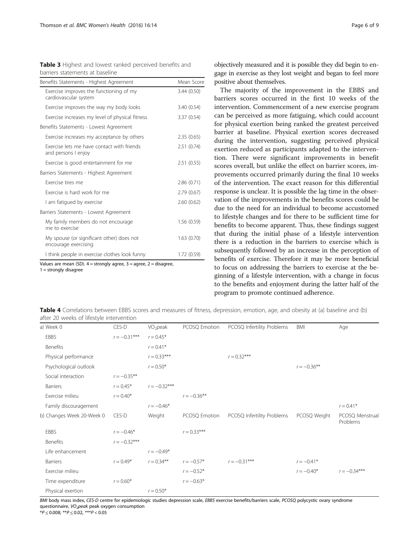<span id="page-5-0"></span>

|                                 |  | <b>Table 3</b> Highest and lowest ranked perceived benefits and |  |
|---------------------------------|--|-----------------------------------------------------------------|--|
| barriers statements at baseline |  |                                                                 |  |

| Mean Score |
|------------|
| 3.44(0.50) |
| 3.40(0.54) |
| 3.37(0.54) |
|            |
| 2.35(0.65) |
| 2.51(0.74) |
| 2.51(0.55) |
|            |
| 2.86(0.71) |
| 2.79(0.67) |
| 2.60(0.62) |
|            |
| 1.56(0.59) |
| 1.63(0.70) |
| 1.72(0.59) |
|            |

1 = strongly disagree

objectively measured and it is possible they did begin to engage in exercise as they lost weight and began to feel more positive about themselves.

The majority of the improvement in the EBBS and barriers scores occurred in the first 10 weeks of the intervention. Commencement of a new exercise program can be perceived as more fatiguing, which could account for physical exertion being ranked the greatest perceived barrier at baseline. Physical exertion scores decreased during the intervention, suggesting perceived physical exertion reduced as participants adapted to the intervention. There were significant improvements in benefit scores overall, but unlike the effect on barrier scores, improvements occurred primarily during the final 10 weeks of the intervention. The exact reason for this differential response is unclear. It is possible the lag time in the observation of the improvements in the benefits scores could be due to the need for an individual to become accustomed to lifestyle changes and for there to be sufficient time for benefits to become apparent. Thus, these findings suggest that during the initial phase of a lifestyle intervention there is a reduction in the barriers to exercise which is subsequently followed by an increase in the perception of benefits of exercise. Therefore it may be more beneficial to focus on addressing the barriers to exercise at the beginning of a lifestyle intervention, with a change in focus to the benefits and enjoyment during the latter half of the program to promote continued adherence.

Table 4 Correlations between EBBS scores and measures of fitness, depression, emotion, age, and obesity at (a) baseline and (b) after 20 weeks of lifestyle intervention

| a) Week 0                 | CES-D          | VO <sub>2</sub> peak | PCOSQ Emotion  | PCOSQ Infertility Problems | BMI            | Age                        |
|---------------------------|----------------|----------------------|----------------|----------------------------|----------------|----------------------------|
| EBBS                      | $r = -0.31***$ | $r = 0.45*$          |                |                            |                |                            |
| Benefits                  |                | $r = 0.41*$          |                |                            |                |                            |
| Physical performance      |                | $r = 0.33***$        |                | $r = 0.32***$              |                |                            |
| Psychological outlook     |                | $r = 0.50*$          |                |                            | $r = -0.36***$ |                            |
| Social interaction        | $r = -0.35***$ |                      |                |                            |                |                            |
| <b>Barriers</b>           | $r = 0.45*$    | $r = -0.32***$       |                |                            |                |                            |
| Exercise milieu           | $r = 0.40*$    |                      | $r = -0.36***$ |                            |                |                            |
| Family discouragement     |                | $r = -0.46*$         |                |                            |                | $r = 0.41*$                |
| b) Changes Week 20-Week 0 | CES-D          | Weight               | PCOSQ Emotion  | PCOSQ Infertility Problems | PCOSQ Weight   | PCOSQ Menstrua<br>Problems |
| EBBS                      | $r = -0.46*$   |                      | $r = 0.33***$  |                            |                |                            |
| Benefits                  | $r = -0.32***$ |                      |                |                            |                |                            |
| Life enhancement          |                | $r = -0.49*$         |                |                            |                |                            |
| Barriers                  | $r = 0.49*$    | $r = 0.34***$        | $r = -0.57*$   | $r = -0.31***$             | $r = -0.41*$   |                            |
| Exercise milieu           |                |                      | $r = -0.52*$   |                            | $r = -0.40*$   | $r = -0.34***$             |
| Time expenditure          | $r = 0.60*$    |                      | $r = -0.63*$   |                            |                |                            |
| Physical exertion         |                | $r = 0.50*$          |                |                            |                |                            |
|                           |                |                      |                |                            |                |                            |

BMI body mass index, CES-D centre for epidemiologic studies depression scale, EBBS exercise benefits/barriers scale, PCOSQ polycystic ovary syndrome questionnaire, VO<sub>2</sub>peak peak oxygen consumption

 $^{\ast}P$   $\leq$  0.008;  $^{\ast\ast\ast}P$   $\leq$  0.02,  $^{\ast\ast\ast\ast}P$   $<$  0.05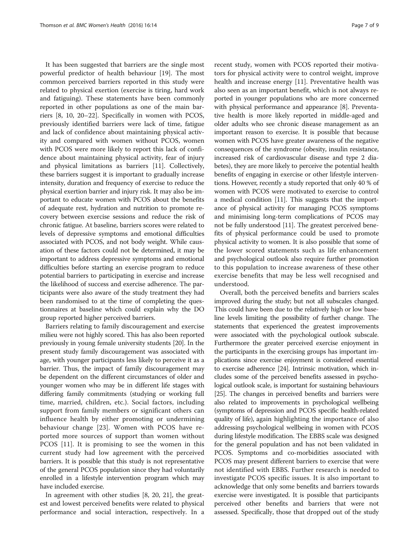It has been suggested that barriers are the single most powerful predictor of health behaviour [[19\]](#page-7-0). The most common perceived barriers reported in this study were related to physical exertion (exercise is tiring, hard work and fatiguing). These statements have been commonly reported in other populations as one of the main barriers [\[8](#page-7-0), [10](#page-7-0), [20](#page-7-0)–[22](#page-8-0)]. Specifically in women with PCOS, previously identified barriers were lack of time, fatigue and lack of confidence about maintaining physical activity and compared with women without PCOS, women with PCOS were more likely to report this lack of confidence about maintaining physical activity, fear of injury and physical limitations as barriers [\[11\]](#page-7-0). Collectively, these barriers suggest it is important to gradually increase intensity, duration and frequency of exercise to reduce the physical exertion barrier and injury risk. It may also be important to educate women with PCOS about the benefits of adequate rest, hydration and nutrition to promote recovery between exercise sessions and reduce the risk of chronic fatigue. At baseline, barriers scores were related to levels of depressive symptoms and emotional difficulties associated with PCOS, and not body weight. While causation of these factors could not be determined, it may be important to address depressive symptoms and emotional difficulties before starting an exercise program to reduce potential barriers to participating in exercise and increase the likelihood of success and exercise adherence. The participants were also aware of the study treatment they had been randomised to at the time of completing the questionnaires at baseline which could explain why the DO group reported higher perceived barriers.

Barriers relating to family discouragement and exercise milieu were not highly scored. This has also been reported previously in young female university students [[20](#page-7-0)]. In the present study family discouragement was associated with age, with younger participants less likely to perceive it as a barrier. Thus, the impact of family discouragement may be dependent on the different circumstances of older and younger women who may be in different life stages with differing family commitments (studying or working full time, married, children, etc.). Social factors, including support from family members or significant others can influence health by either promoting or undermining behaviour change [[23\]](#page-8-0). Women with PCOS have reported more sources of support than women without PCOS [[11\]](#page-7-0). It is promising to see the women in this current study had low agreement with the perceived barriers. It is possible that this study is not representative of the general PCOS population since they had voluntarily enrolled in a lifestyle intervention program which may have included exercise.

In agreement with other studies [\[8](#page-7-0), [20, 21](#page-7-0)], the greatest and lowest perceived benefits were related to physical performance and social interaction, respectively. In a

recent study, women with PCOS reported their motivators for physical activity were to control weight, improve health and increase energy [\[11](#page-7-0)]. Preventative health was also seen as an important benefit, which is not always reported in younger populations who are more concerned with physical performance and appearance [\[8](#page-7-0)]. Preventative health is more likely reported in middle-aged and older adults who see chronic disease management as an important reason to exercise. It is possible that because women with PCOS have greater awareness of the negative consequences of the syndrome (obesity, insulin resistance, increased risk of cardiovascular disease and type 2 diabetes), they are more likely to perceive the potential health benefits of engaging in exercise or other lifestyle interventions. However, recently a study reported that only 40 % of women with PCOS were motivated to exercise to control a medical condition [[11](#page-7-0)]. This suggests that the importance of physical activity for managing PCOS symptoms and minimising long-term complications of PCOS may not be fully understood [[11](#page-7-0)]. The greatest perceived benefits of physical performance could be used to promote physical activity to women. It is also possible that some of the lower scored statements such as life enhancement and psychological outlook also require further promotion to this population to increase awareness of these other exercise benefits that may be less well recognised and understood.

Overall, both the perceived benefits and barriers scales improved during the study; but not all subscales changed. This could have been due to the relatively high or low baseline levels limiting the possibility of further change. The statements that experienced the greatest improvements were associated with the psychological outlook subscale. Furthermore the greater perceived exercise enjoyment in the participants in the exercising groups has important implications since exercise enjoyment is considered essential to exercise adherence [[24](#page-8-0)]. Intrinsic motivation, which includes some of the perceived benefits assessed in psychological outlook scale, is important for sustaining behaviours [[25](#page-8-0)]. The changes in perceived benefits and barriers were also related to improvements in psychological wellbeing (symptoms of depression and PCOS specific health-related quality of life), again highlighting the importance of also addressing psychological wellbeing in women with PCOS during lifestyle modification. The EBBS scale was designed for the general population and has not been validated in PCOS. Symptoms and co-morbidities associated with PCOS may present different barriers to exercise that were not identified with EBBS. Further research is needed to investigate PCOS specific issues. It is also important to acknowledge that only some benefits and barriers towards exercise were investigated. It is possible that participants perceived other benefits and barriers that were not assessed. Specifically, those that dropped out of the study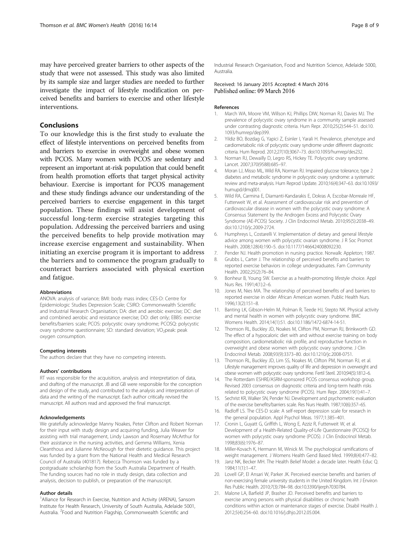#### <span id="page-7-0"></span>Conclusions

To our knowledge this is the first study to evaluate the effect of lifestyle interventions on perceived benefits from and barriers to exercise in overweight and obese women with PCOS. Many women with PCOS are sedentary and represent an important at-risk population that could benefit from health promotion efforts that target physical activity behaviour. Exercise is important for PCOS management and these study findings advance our understanding of the perceived barriers to exercise engagement in this target population. These findings will assist development of successful long-term exercise strategies targeting this population. Addressing the perceived barriers and using the perceived benefits to help provide motivation may increase exercise engagement and sustainability. When initiating an exercise program it is important to address the barriers and to commence the program gradually to counteract barriers associated with physical exertion and fatigue.

#### Abbreviations

ANOVA: analysis of variance; BMI: body mass index; CES-D: Centre for Epidemiologic Studies Depression Scale; CSIRO: Commonwealth Scientific and Industrial Research Organisation; DA: diet and aerobic exercise; DC: diet and combined aerobic and resistance exercise; DO: diet only; EBBS: exercise benefits/barriers scale; PCOS: polycystic ovary syndrome; PCOSQ: polycystic ovary syndrome questionnaire; SD: standard deviation; VO<sub>2</sub>peak: peak oxygen consumption.

#### Competing interests

The authors declare that they have no competing interests.

#### Authors' contributions

RT was responsible for the acquisition, analysis and interpretation of data, and drafting of the manuscript. JB and GB were responsible for the conception and design of the study, and contributed to the analysis and interpretation of data and the writing of the manuscript. Each author critically revised the manuscript. All authors read and approved the final manuscript.

#### Acknowledgements

We gratefully acknowledge Manny Noakes, Peter Clifton and Robert Norman for their input with study design and acquiring funding, Julia Weaver for assisting with trial management, Lindy Lawson and Rosemary McArthur for their assistance in the nursing activities, and Gemma Williams, Xenia Cleanthous and Julianne McKeough for their dietetic guidance. This project was funded by a grant from the National Health and Medical Research Council of Australia (401817). Rebecca Thomson was funded by a postgraduate scholarship from the South Australia Department of Health. The funding sources had no role in study design, data collection and analysis, decision to publish, or preparation of the manuscript.

#### Author details

<sup>1</sup> Alliance for Research in Exercise, Nutrition and Activity (ARENA), Sansom Institute for Health Research, University of South Australia, Adelaide 5001, Australia. <sup>2</sup> Food and Nutrition Flagship, Commonwealth Scientific and

#### Received: 16 January 2015 Accepted: 4 March 2016 Published online: 09 March 2016

#### References

- 1. March WA, Moore VM, Willson KJ, Phillips DIW, Norman RJ, Davies MJ. The prevalence of polycystic ovary syndrome in a community sample assessed under contrasting diagnostic criteria. Hum Repr. 2010;25(2):544–51. doi[:10.](http://dx.doi.org/10.1093/humrep/dep399) [1093/humrep/dep399](http://dx.doi.org/10.1093/humrep/dep399).
- 2. Yildiz BO, Bozdag G, Yapici Z, Esinler I, Yarali H. Prevalence, phenotype and cardiometabolic risk of polycystic ovary syndrome under different diagnostic criteria. Hum Reprod. 2012;27(10):3067–73. doi:[10.1093/humrep/des232](http://dx.doi.org/10.1093/humrep/des232).
- 3. Norman RJ, Dewailly D, Legro RS, Hickey TE. Polycystic ovary syndrome. Lancet. 2007;370(9588):685–97.
- 4. Moran LJ, Misso ML, Wild RA, Norman RJ. Impaired glucose tolerance, type 2 diabetes and metabolic syndrome in polycystic ovary syndrome: a systematic review and meta-analysis. Hum Reprod Update. 2010;16(4):347–63. doi:[10.1093/](http://dx.doi.org/10.1093/humupd/dmq001) [humupd/dmq001](http://dx.doi.org/10.1093/humupd/dmq001).
- 5. Wild RA, Carmina E, Diamanti-Kandarakis E, Dokras A, Escobar-Morreale HF, Futterweit W, et al. Assessment of cardiovascular risk and prevention of cardiovascular disease in women with the polycystic ovary syndrome: A Consensus Statement by the Androgen Excess and Polycystic Ovary Syndrome (AE-PCOS) Society. J Clin Endocrinol Metab. 2010;95(5):2038–49. doi[:10.1210/jc.2009-2724](http://dx.doi.org/10.1210/jc.2009-2724).
- 6. Humphreys L, Costarelli V. Implementation of dietary and general lifestyle advice among women with polycystic ovarian syndrome. J R Soc Promot Health. 2008;128(4):190–5. doi:[10.1177/1466424008092230](http://dx.doi.org/10.1177/1466424008092230).
- 7. Pender NJ. Health promotion in nursing practice. Norwalk: Appleton; 1987.
- Grubbs L, Carter J. The relationship of perceived benefits and barriers to reported exercise behaviors in college undergraduates. Fam Community Health. 2002;25(2):76–84.
- 9. Bonheur B, Young SW. Exercise as a health-promoting lifestyle choice. Appl Nurs Res. 1991;4(1):2–6.
- 10. Jones M, Nies MA. The relationship of perceived benefits of and barriers to reported exercise in older African American women. Public Health Nurs. 1996;13(2):151–8.
- 11. Banting LK, Gibson-Helm M, Polman R, Teede HJ, Stepto NK. Physical activity and mental health in women with polycystic ovary syndrome. BMC Womens Health. 2014;14(1):51. doi[:10.1186/1472-6874-14-51.](http://dx.doi.org/10.1186/1472-6874-14-51)
- 12. Thomson RL, Buckley JD, Noakes M, Clifton PM, Norman RJ, Brinkworth GD. The effect of a hypocaloric diet with and without exercise training on body composition, cardiometabolic risk profile, and reproductive function in overweight and obese women with polycystic ovary syndrome. J Clin Endocrinol Metab. 2008;93(9):3373–80. doi[:10.1210/jc.2008-0751.](http://dx.doi.org/10.1210/jc.2008-0751)
- 13. Thomson RL, Buckley JD, Lim SS, Noakes M, Clifton PM, Norman RJ, et al. Lifestyle management improves quality of life and depression in overweight and obese women with polycystic ovary syndrome. Fertil Steril. 2010;94(5):1812–6.
- 14. The Rotterdam ESHRE/ASRM-sponsored PCOS consensus workshop group. Revised 2003 consensus on diagnostic criteria and long-term health risks related to polycystic ovary syndrome (PCOS). Hum Repr. 2004;19(1):41–7.
- 15. Sechrist KR, Walker SN, Pender NJ. Development and psychometric evaluation of the exercise benefits/barriers scale. Res Nurs Health. 1987;10(6):357–65.
- 16. Radloff LS. The CES-D scale: A self-report depression scale for research in the general population. Appl Psychol Meas. 1977;1:385–401.
- 17. Cronin L, Guyatt G, Griffith L, Wong E, Azziz R, Futterweit W, et al. Development of a Health-Related Quality-of-Life Questionnaire (PCOSQ) for women with polycystic ovary syndrome (PCOS). J Clin Endocrinol Metab. 1998;83(6):1976–87.
- 18. Miller-Kovach K, Hermann M, Winick M. The psychological ramifications of weight management. J Womens Health Gend Based Med. 1999;8(4):477–82.
- 19. Janz NK, Becker MH. The Health Belief Model: a decade later. Health Educ Q. 1984;11(1):1–47.
- 20. Lovell GP, El Ansari W, Parker JK. Perceived exercise benefits and barriers of non-exercising female university students in the United Kingdom. Int J Environ Res Public Health. 2010;7(3):784–98. doi:[10.3390/ijerph7030784.](http://dx.doi.org/10.3390/ijerph7030784)
- 21. Malone LA, Barfield JP, Brasher JD. Perceived benefits and barriers to exercise among persons with physical disabilities or chronic health conditions within action or maintenance stages of exercise. Disabil Health J. 2012;5(4):254–60. doi:[10.1016/j.dhjo.2012.05.004.](http://dx.doi.org/10.1016/j.dhjo.2012.05.004)